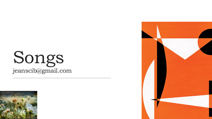## Songs jeanscib@gmail.com



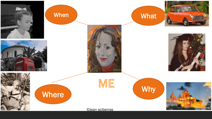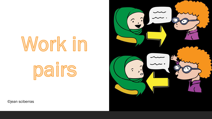# Work in pairs



©jean sciberras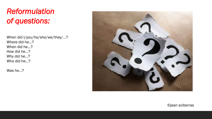### *Reformulation of questions:*

When did I/you/he/she/we/they/…? Where did he…? When did he…? How did he…? Why did he…? Who did he…?

Was he…?

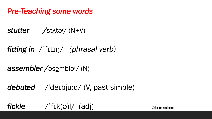**Pre-Teaching some words** 

#### **stutter**  $\sqrt{\text{state}^r / (N+V)}$

fitting in / fittin/ (phrasal verb)

#### $\textsf{assert}$  /əsemblər/(N)

**debuted** /'deibju:d/ (V, past simple)

fickle  $/$  fik( $\theta$ ) $/$  (adj)

©jean sciberras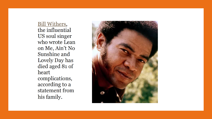Bill Withers, the influential US soul singer who wrote Lean on Me, Ain't No Sunshine and Lovely Day has died aged 81 of heart complications, according to a statement from his family.

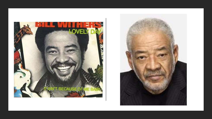

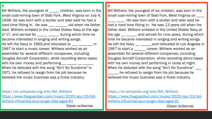A

Bill Withers, the youngest of children, was born in the small coal-mining town of Slab Fork, West Virginia on July 4, 1938. He was born with a stutter and later said he had a hard time fitting in. He was \_\_\_ \_\_\_\_\_ old when his father died. Withers enlisted in the United States Navy at the age of 17, and served for \_\_\_\_\_\_ \_\_\_\_, during which time he became interested in singing and writing songs. He left the Navy in 1965, and relocated to <u>equal</u> in 1967 to start a music career. Withers worked as an assembler for several different companies, including Douglas Aircraft Corporation, while recording demo tapes with his own money and performing  $\frac{1}{\sqrt{2}}$   $\frac{1}{\sqrt{2}}$   $\frac{1}{\sqrt{2}}$ . When he debuted with the song "Ain't No Sunshine" in 1971, he refused to resign from his job because he believed the music business was a fickle industry.

https://en.wikipedia.org/wiki/Bill\_Withers [https://www.theguardian.com/music/2020/apr/03/bill](https://www.theguardian.com/music/2020/apr/03/bill-withers-influential-soul-singer-dies-aged-81)withers-influential-soul-singer-dies-aged-81 ©jean sciberras ©jean sciberras

Bill Withers, the youngest of six children, was born in the small coal-mining town of Slab Fork, West Virginia on

B

\_\_\_\_ \_\_\_\_. He was born with a stutter and later said he had a hard time fitting in. He was 13 years old when his father died. Withers enlisted in the United States Navy at the age \_\_ \_\_\_\_\_, and served for nine years, during which time he became interested in singing and writing songs. He left the Navy \_\_ \_\_\_\_\_,and relocated to Los Angeles in 1967 to start a sample career. Withers worked as an assembler for several different companies, including Douglas Aircraft Corporation, while recording demo tapes with his own money and performing in clubs at night. When he debuted with the song "Ain't No Sunshine" \_ \_\_\_\_\_, he refused to resign from his job because he believed the music business was a fickle industry.

https://en.wikipedia.org/wiki/Bill\_Withers [https://www.theguardian.com/music/2020/apr/03/bill](https://www.theguardian.com/music/2020/apr/03/bill-withers-influential-soul-singer-dies-aged-81)withers-influential-soul-singer-dies-aged-81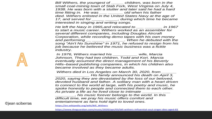*Bill Withers, the youngest of \_\_\_\_\_ children, was born in the small coal-mining town of Slab Fork, West Virginia on July 4, 1938. He was born with a stutter and later said he had a hard time fitting in. He was \_\_\_ \_\_\_\_\_\_ old when his father died. Withers enlisted in the United States Navy at the age of 17, and served for \_\_\_\_\_ \_\_\_\_\_, during which time he became interested in singing and writing songs.* 

*He left the Navy in 1965,and relocated to \_\_\_ \_\_\_\_\_\_\_ in 1967 to start a music career. Withers worked as an assembler for several different companies, including Douglas Aircraft Corporation, while recording demo tapes with his own money and performing \_\_ \_\_\_\_\_ \_\_ \_\_\_\_\_. When he debuted with the song "Ain't No Sunshine" in 1971, he refused to resign from his job because he believed the music business was a fickle industry.* 

*In 1976, Withers married his \_\_\_\_\_\_\_\_\_\_ wife, Marcia Johnson. They had two children, Todd and Kori. Marcia eventually assumed the direct management of his Beverly Hills–based publishing companies, in which his children also became involved as they became adults.* 

*Withers died in Los Angeles on March 30, 2020, from \_\_\_\_\_\_ \_\_\_\_\_\_\_\_\_\_\_\_\_\_ His family announced his death on April 3, 2020, saying they are devastated by the loss of our beloved, devoted husband and father. A solitary man with a heart driven to connect to the world at large, with his poetry and music, he spoke honestly to people and connected them to each other. As private a life as he lived close to intimate \_\_\_\_\_\_\_\_ \_\_\_* 

*\_\_\_\_\_\_\_\_, his music forever belongs to the world. In this difficult time, we pray his music offers comfort and entertainment as fans hold tight to loved ones.*

https://en.wikipedia.org/wiki/Bill\_Withers



©jean sciberras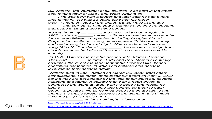*Bill Withers, the youngest of six children, was born in the small coal-mining town of Slab Fork, West Virginia on \_\_\_\_ \_\_\_\_* 

*\_\_\_\_. He was born with a stutter and later said he had a hard time fitting in. He was 13 years old when his father died. Withers enlisted in the United States Navy at the age \_\_* 

*\_\_\_\_\_, and served for nine years, during which time he became interested in singing and writing songs.* 

*He left the Navy \_\_ \_\_\_\_\_,and relocated to Los Angeles in 1967 to start a \_\_\_\_\_\_ career. Withers worked as an assembler for several different companies, including Douglas Aircraft Corporation, while recording demo tapes with his own money and performing in clubs at night. When he debuted with the song "Ain't No Sunshine" \_\_\_ \_\_\_\_\_, he refused to resign from his job because he believed the music business was a fickle industry.* 

*In 1976, Withers married his second wife, Marcia Johnson. They had \_\_\_\_\_\_\_ children, Todd and Kori. Marcia eventually assumed the direct management of his Beverly Hills–based publishing companies, in which his children also became involved as they became adults.* 

*Withers died in Los Angeles on March 30, 2020, from heart complications. His family announced his death on April 3, 2020, saying they are devastated by the loss of our beloved, devoted husband and father. A solitary man with a heart driven to connect to the world at large, with his poetry and music, he spoke \_\_\_\_\_\_\_\_\_\_ to people and connected them to each other. As private a life as he lived close to intimate family and friends, his music forever belongs to the world. In this difficult time, we pray his music offers* 

*\_\_\_\_\_\_\_\_\_\_\_\_\_\_ as fans hold tight to loved ones.*

https://en.wikipedia.org/wiki/Bill\_Withers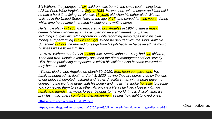*Bill Withers, the youngest of six children, was born in the small coal-mining town of Slab Fork, West Virginia on July 4, 1938. He was born with a stutter and later said he had a hard time fitting in. He was 13 years old when his father died. Withers enlisted in the United States Navy at the age of 17, and served for nine years, during which time he became interested in singing and writing songs.* 

*He left the Navy in 1965,and relocated to Los Angeles in 1967 to start a music career. Withers worked as an assembler for several different companies, including Douglas Aircraft Corporation, while recording demo tapes with his own money and performing in clubs at night. When he debuted with the song "Ain't No Sunshine" in 1971, he refused to resign from his job because he believed the music business was a fickle industry.* 

*In 1976, Withers married his second wife, Marcia Johnson. They had two children, Todd and Kori. Marcia eventually assumed the direct management of his Beverly Hills–based publishing companies, in which his children also became involved as they became adults.*

*Withers died in Los Angeles on March 30, 2020, from heart complications. His family announced his death on April 3, 2020, saying they are devastated by the loss of our beloved, devoted husband and father. A solitary man with a heart driven to connect to the world at large, with his poetry and music, he spoke honestly to people and connected them to each other. As private a life as he lived close to intimate family and friends, his music forever belongs to the world. In this difficult time, we pray his music offers comfort and entertainment as fans hold tight to loved ones.*

https://en.wikipedia.org/wiki/Bill\_Withers

©jean sciberras

https://www.theguardian.com/music/2020/apr/03/bill-withers-influential-soul-singer-dies-aged-81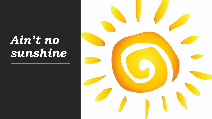## *Ain't no sunshine*

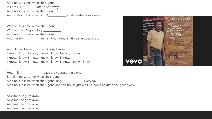Ain't no sunshine when she's gone. It's not (1) when she's away. Ain't no sunshine when she's gone And she's always gone too (2) anytime she goes away.

Wonder this time where she's gone, Wonder if she's gone to (3)\_\_\_\_\_\_\_\_\_\_\_\_\_ Ain't no sunshine when she's gone And this (4)\_\_\_\_\_\_\_\_\_\_\_\_\_\_ just ain't no home anytime she goes away.

And I know, I know, I know, I know, I know, I know, I know, I know, I know, I know, I know, I know, I know, I know, I know, I know, I know, I know, I know, I know, I know, I know, I know, I know, I know, I know

Hey,  $I(5)$   $\qquad \qquad$  leave the young thing alone, But ain't no sunshine when she's gone, Ain't no sunshine when she's gone, only (6)\_\_\_\_\_\_\_\_\_\_\_ everyday. Ain't no sunshine when she's gone and this house just ain't no home anytime she goes away.

Anytime she goes away. Anytime she goes away. Anytime she goes away. Anytime she goes away.

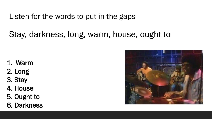Listen for the words to put in the gaps

Stay, darkness, long, warm, house, ought to

- 1. Warm
- 2. Long
- 3. Stay
- 4. House
- 5. Ought to
- 6. Darkness

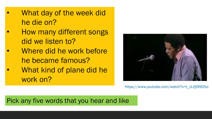- What day of the week did he die on?
- How many different songs did we listen to?
- Where did he work before he became famous?
- What kind of plane did he work on?



https://www.youtube.com/watch?v=t\_cLQt99O5o

#### Pick any five words that you hear and like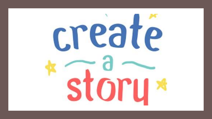